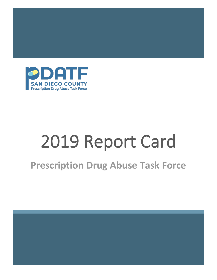

# 2019 Report Card

# **Prescription Drug Abuse Task Force**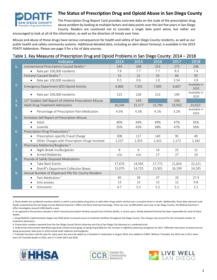

### **The Status of Prescription Drug and Opioid Abuse in San Diego County**

The Prescription Drug Report Card provides concrete data on the scale of the prescription drug abuse problem by looking at multiple factors and data points over the last five years in San Diego County. Readers are cautioned not to consider a single data point alone, but rather are

encouraged to look at all of the information, as well as the direction of trends over time.

Misuse and abuse of these drugs have serious consequences for health and safety of San Diego County residents, as well as our public health and safety community systems. Additional detailed data, including an alert about Fentanyl, is available in the 2019 PDATF Addendum. Please see page 3 for a list of data sources.

#### Table 1. Key Measures of Prescription Drug and Opioid Problems in San Diego County: 2014 – 2018

|    | Indicator                                                            | 2014   | 2015   | 2016   | 2017   | 2018                 |
|----|----------------------------------------------------------------------|--------|--------|--------|--------|----------------------|
| 1. | Unintentional Prescription-Caused Deaths <sup>a</sup>                | 244    | 248    | 253    | 273    | 246                  |
|    | Rate per 100,000 residents<br>$\bullet$                              | 7.6    | 7.7    | 7.7    | 8.3    | 7.4                  |
|    | Fentanyl-Caused Deaths <sup>b</sup>                                  | 15     | 21     | 33     | 84     | 92                   |
|    | Rate per 100,000 residents                                           | 0.5    | 0.6    | 1.0    | 2.54   | 2.8                  |
| 2. | Emergency Department (ED) Opioid Activity                            | 6,866  | 7,501  | 7,005  | 6,607  | Available in<br>2020 |
|    | Rate per 100,000 residents                                           | 215    | 228    | 213    | 199    | Available in<br>2020 |
| 3. | 11 <sup>th</sup> Graders Self Report of Lifetime Prescription Misuse |        | 14%    |        | 10%    |                      |
| 4. | Adult Drug Treatment Admissions                                      | 16,104 | 15,177 | 15,790 | 15,952 | 23,022 <sup>c</sup>  |
|    | Percentage of Prescription Pain Medication<br>$\bullet$              | 4.5%   | 4.3%   | 4.1%   | 3.2%   | Available in<br>2020 |
| 5. | Arrestees Self Report of Prescription Misuse                         |        |        |        |        |                      |
|    | Adult<br>$\bullet$                                                   | 40%    | 44%    | 49%    | 47%    | 45%                  |
|    | Juvenile<br>$\bullet$                                                | 35%    | 43%    | 38%    | 47%    | 56%                  |
| 6. | Prescription Drug Prosecutions <sup>d</sup>                          |        |        |        |        |                      |
|    | Prescription-specific Fraud Charge<br>$\bullet$                      | 308    | 117    | 140    | 95     | 49                   |
|    | Other Charges with Prescription-Drugs Involved<br>$\bullet$          | 1,237  | 1,353  | 1,422  | 1,172  | 1,182                |
| 7. | Pharmacy Robberies/Burglaries <sup>e</sup>                           |        |        |        |        |                      |
|    | Night Break-Ins/Burglaries<br>$\bullet$                              | 8      | 6      | 14     | 25     | 11                   |
|    | Armed Robberies<br>$\bullet$                                         | n/a    | n/a    | 17     | 27     | 10                   |
| 8. | Pounds of Safely Disposed Medications                                |        |        |        |        |                      |
|    | Take Back Events<br>$\bullet$                                        | 17,676 | 14,595 | 17,772 | 21,824 | 22,221               |
|    | Sheriff's Department Collection Boxes<br>$\bullet$                   | 13,079 | 14,725 | 15,901 | 16,199 | 14,295               |
| 9. | Annual Number of Dispensed Pills Per County Resident                 |        |        |        |        |                      |
|    | Pain Medication <sup>f</sup><br>$\bullet$                            | 40     | 39     | 37     | 33     | 27.4                 |
|    | Anti-anxiety<br>$\bullet$                                            | 13     | 13     | 13     | 12     | 9.8                  |
|    | Stimulants<br>$\bullet$                                              | 4.7    | 5.2    | 5.2    | 5.2    | 5.1                  |

a. These deaths are accidental overdose deaths in which a prescription drug alone or with other drugs and/or alcohol was a causative factor in death. Additionally, these data represent only deaths examined by the San Diego County Medical Examiner's Office and those that had toxicology. There are over 22,000 deaths each year in San Diego County, the Medical Examiner's office investigates around 3,000 deaths a year.

f. Tramadol has been used for pain for many years but was only added as a Schedule IV medication in August 2014, thus added to CURES. Without Tramadol, the 2016 rate is 30.2; there were 20 Tramadol deaths in 2014, and 17 in both 2015 and 2016.







b. As opposed to the previous decade in which misused prescription fentanyl caused most of these deaths, in recent years, illicitly obtained fentanyl has been responsible for most of these deaths.

c. Drug-MediCAL implementation began July 2018 which increased access to treatment facilities throughout San Diego County. This change may account for the increased number of treatment admissions.

d. Prosecution numbers reported from the San Diego County District Attorney and City of San Diego City Attorney as a combined total.

e. Federal law enforcement identified organized criminal street gangs as being responsible for the increase in nighttime pharmacy burglaries for 2017. Offenders have been arrested and are being prosecuted. Data prior to 2016 include both robberies and burglaries.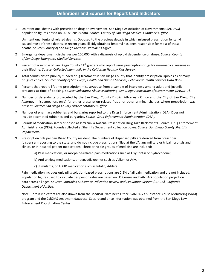1. Unintentional deaths with prescription drug or involvement. San Diego Association of Governments (SANDAG) population figures based on 2018 Census data. *Source: County of San Diego Medical Examiner's Office.*

Unintentional fentanyl related deaths: Opposed to the previous decade in which misused prescription fentanyl caused most of these deaths, in recent years, illicitly obtained fentanyl has been responsible for most of these deaths. *Source: County of San Diego Medical Examiner's Office.*

- 2. Emergency department discharges per 100,000 with a diagnosis of opioid dependence or abuse. *Source: County of San Diego Emergency Medical Services.*
- 3. Percent of a sample of San Diego County  $11<sup>th</sup>$  graders who report using prescription drugs for non-medical reasons in their lifetime. *Source: Collected biannually in the California Healthy Kids Survey.*
- 4. Total admissions to publicly-funded drug treatment in San Diego County that identify prescription Opioids as primary drugs of choice. *Source: County of San Diego, Health and Human Services; Behavioral Health Services Data Book.*
- 5. Percent that report lifetime prescription misuse/abuse from a sample of interviews among adult and juvenile arrestees at time of booking. *Source: Substance Abuse Monitoring, San Diego Association of Governments (SANDAG).*
- 6. Number of defendants prosecuted by the San Diego County District Attorney's Office and the City of San Diego City Attorney (misdemeanors only) for either prescription-related fraud, or other criminal charges where prescription was present. *Source: San Diego County District Attorney's Office.*
- 7. Number of pharmacy robberies and burglaries reported to the Drug Enforcement Administration (DEA). Does not include attempted robberies and burglaries. *Source: Drug Enforcement Administration (DEA).*
- 8. Pounds of medication safely disposed at semi-annual National Prescription Drug Take Back events. Source: Drug Enforcement Administration (DEA). Pounds collected at Sheriff's Department collection boxes. *Source: San Diego County Sheriff's Department.*
- 9. Prescription pills per San Diego County resident. The numbers of dispensed pills are derived from prescriber (dispenser) reporting to the state, and do not include prescriptions filled at the VA, any military or tribal hospitals and clinics, or in-hospital patient medications. Three principle groups of medicine are included:
	- a) Pain medications, or morphine-related pain medications such as OxyContin or hydrocodone;
	- b) Anti-anxiety medications, or benzodiazepines such as Valium or Ativan;
	- c) Stimulants, or ADHD medication such as Ritalin, Adderall.

Pain medication includes only pills; solution-based prescriptions are 2.5% of all pain medication and are not included. Population figures used to calculate per person rates are based on US Census and SANDAG population projection data across all ages. *Source: Controlled Substance Utilization Review and Evaluation System (CURES), California Department of Justice.*

Note: Heroin indicators are also drawn from the Medical Examiner's Office, SANDAG's Substance Abuse Monitoring (SAM) program and the CalOMS treatment database. Seizure and price information was obtained from the San Diego Law Enforcement Coordination Center.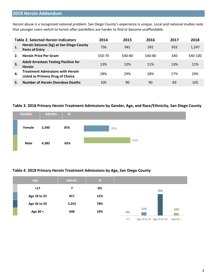## **2019 Heroin Addendum**

Heroin abuse is a recognized national problem. San Diego County's experience is unique. Local and national studies note that younger users switch to heroin after painkillers are harder to find or become unaffordable.

|     | <b>Table 2. Selected Heroin Indicators</b>                                         | 2014    | 2015    | 2016    | 2017       | 2018     |
|-----|------------------------------------------------------------------------------------|---------|---------|---------|------------|----------|
| 1.  | Heroin Seizures (kg) at San Diego County<br><b>Ports of Entry</b>                  | 756     | 941     | 591     | 933        | 1,247    |
|     | <b>Heroin Price Per Gram</b>                                                       | \$50-70 | \$40-80 | \$40-80 | <b>S40</b> | \$40-100 |
| 3.  | <b>Adult Arrestees Testing Positive for</b><br><b>Heroin</b>                       | 13%     | 12%     | 11%     | 13%        | 11%      |
| -4. | <b>Treatment Admissions with Heroin</b><br><b>Listed as Primary Drug of Choice</b> | 28%     | 29%     | 28%     | 27%        | 29%      |
|     | <b>Number of Heroin Overdose Deaths</b>                                            | 105     | 90      | 90      | 83         | 105      |

#### **Table 3. 2018 Primary Heroin Treatment Admissions by Gender, Age, and Race/Ethnicity, San Diego County**



#### **Table 4. 2018 Primary Heroin Treatment Admissions by Age, San Diego County**

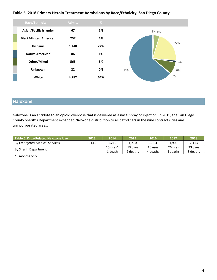#### **Table 5. 2018 Primary Heroin Treatment Admissions by Race/Ethnicity, San Diego County**



# **Naloxone**

Naloxone is an antidote to an opioid overdose that is delivered as a nasal spray or injection. In 2015, the San Diego County Sheriff's Department expanded Naloxone distribution to all patrol cars in the nine contract cities and unincorporated areas.

| Table 6. Drug-Related Naloxone Use | 2013  | 2014       | 2015     | 2016     | 2017     | 2018     |
|------------------------------------|-------|------------|----------|----------|----------|----------|
| By Emergency Medical Services      | 1.141 | 1.212      | 1.210    | 1.304    | 1.903    | 2.113    |
| <b>By Sheriff Department</b>       |       | $15$ uses* | 13 uses  | 16 uses  | 26 uses  | 23 uses  |
|                                    |       | 1 death    | 2 deaths | 4 deaths | 4 deaths | 3 deaths |

\*6 months only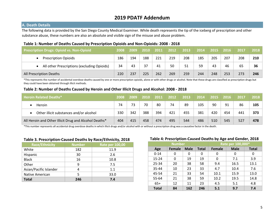# **2019 PDATF Addendum**

#### **A. Death Details**

The following data is provided by the San Diego County Medical Examiner. While death represents the tip of the iceberg of prescription and other substance abuse, these numbers are also an absolute and visible sign of the misuse and abuse problem.

#### **Table 1: Number of Deaths Caused by Prescription Opioids and Non-Opioids: 2008 - 2018**

| Prescription Drugs: Opioid vs. Non-Opioid   | 2008 | 2009 | 2010 | 2011 | 2012 | 2013 | 2014 | 2015 | 2016 | 2017 | 2018 |
|---------------------------------------------|------|------|------|------|------|------|------|------|------|------|------|
| <b>Prescription Opioids</b>                 | 186  | 194  | 188  | 221  | 219  | 208  | 185  | 205  | 207  | 208  | 210  |
| All other Prescriptions (excluding Opioids) | 34   | 43   | 37   | 41   | 50   | 51   | 59   | 43   | 46   | 65   | 36   |
| All Prescription Deaths                     |      | 237  | 225  | 262  | 269  | 259  | 244  | 248  | 253  | 273  | 246  |

\*This represents the number of accidental overdose deaths caused by one or more prescription opioids, alone or with other drugs or alcohol. Note that these drugs are classified as prescription drugs but they could have been obtained through illicit methods.

#### Table 2: Number of Deaths Caused by Heroin and Other Illicit Drugs and Alcohol: 2008 - 2018

| <b>Heroin Related Deaths*</b>                         | 2008 | 2009 | 2010 | 2011 | 2012 | 2013 | 2014 | 2015 | 2016 | 2017 | 2018 |
|-------------------------------------------------------|------|------|------|------|------|------|------|------|------|------|------|
| Heroin                                                | 74   | 73   | 70   | 80   | 74   | 89   | 105  | 90   | 91   | 86   | 105  |
| Other illicit substances and/or alcohol               | 330  | 342  | 388  | 394  | 421  | 455  | 381  | 420  | 454  | 441  | 373  |
| All Heroin and Other Illicit Drug and Alcohol Deaths* |      | 415  | 458  | 474  | 495  | 544  | 486  | 510  | 545  | 527  | 478  |

\*This number represents all accidental drug overdose deaths in which illicit drugs and/or alcohol with or without a prescription drug was a causative factor in the death.

#### **Table 3. Prescription-Caused Deaths by Race/Ethnicity, 2018**

| <b>Race/Ethnicity</b>  | <b>Number</b> | <b>Rate per 100,00</b> |
|------------------------|---------------|------------------------|
| White                  | 182           | 11.9                   |
| Hispanic               | 30            | 2.6                    |
| <b>Black</b>           | 16            | 10.8                   |
| Other                  | 9             | 7.5                    |
| Asian/Pacific Islander |               | 1.1                    |
| Native American        | 5             | 33.0                   |
| <b>Total</b>           | 246           | 7.4                    |

#### **Table 4: Prescription-Caused Deaths by Age and Gender, 2018**

|              | <b>Number</b> |             | Rate per 100,000* |               |             |              |  |  |
|--------------|---------------|-------------|-------------------|---------------|-------------|--------------|--|--|
| Age          | <b>Female</b> | <b>Male</b> | <b>Total</b>      | <b>Female</b> | <b>Male</b> | <b>Total</b> |  |  |
| $0 - 14$     | 0             | 0           | 0                 | 0             | 0           | 0            |  |  |
| 15-24        | 0             | 19          | 19                | 0             | 7.1         | 3.9          |  |  |
| 25-34        | 20            | 38          | 58                | 9.4           | 16.5        | 13.1         |  |  |
| 35-44        | 10            | 23          | 33                | 4.7           | 10.4        | 7.6          |  |  |
| 45-54        | 21            | 33          | 54                | 10.1          | 15.9        | 13.0         |  |  |
| 55-64        | 21            | 38          | 59                | 10.2          | 19.5        | 14.8         |  |  |
| $65+$        | 12            | 11          | 23                | 4.5           | 5.1         | 4.8          |  |  |
| <b>Total</b> | 84            | 162         | 246               | 5.1           | 9.7         | 7.4          |  |  |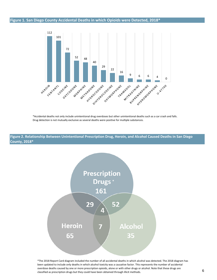#### **Figure 1. San Diego County Accidental Deaths in which Opioids were Detected, 2018\***



\*Accidental deaths not only include unintentional drug overdoses but other unintentional deaths such as a car crash and falls. Drug detection is not mutually exclusive as several deaths were positive for multiple substances.

**Figure 2. Relationship Between Unintentional Prescription Drug, Heroin, and Alcohol Caused Deaths in San Diego County, 2018\***



\*The 2018 Report Card diagram included the number of all accidental deaths in which alcohol was detected. The 2018 diagram has been updated to include only deaths in which alcohol toxicity was a causative factor. This represents the number of accidental overdose deaths caused by one or more prescription opioids, alone or with other drugs or alcohol. Note that these drugs are classified as prescription drugs but they could have been obtained through illicit methods.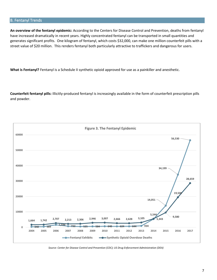#### B. Fentanyl Trends

**An overview of the fentanyl epidemic:** According to the Centers for Disease Control and Prevention, deaths from fentanyl have increased dramatically in recent years. Highly concentrated fentanyl can be transported in small quantities and generates significant profits. One kilogram of fentanyl, which costs \$32,000, can make one million counterfeit pills with a street value of \$20 million. This renders fentanyl both particularly attractive to traffickers and dangerous for users.

**What is Fentanyl?** Fentanyl is a Schedule II synthetic opioid approved for use as a painkiller and anesthetic.

**Counterfeit fentanyl pills:** Illicitly-produced fentanyl is increasingly available in the form of counterfeit prescription pills and powder.



*Source: Center for Disease Control and Prevention (CDC); US Drug Enforcement Administration (DEA)*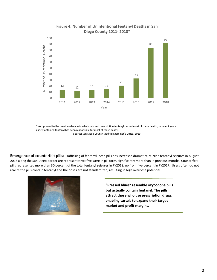

#### **Figure 4. Number of Unintentional Fentanyl Deaths in San Diego County 2011- 2018\***

\* As opposed to the previous decade in which misused prescription fentanyl caused most of these deaths, in recent years, illicitly obtained fentanyl has been responsible for most of these deaths

Source: San Diego County Medical Examiner's Office, 2019

**Emergence of counterfeit pills:** Trafficking of fentanyl-laced pills has increased dramatically. Nine fentanyl seizures in August 2018 along the San Diego border are representative: five were in pill form, significantly more than in previous months. Counterfeit pills represented more than 30 percent of the total fentanyl seizures in FY2018, up from five percent in FY2017. Users often do not realize the pills contain fentanyl and the doses are not standardized, resulting in high overdose potential.



**"Pressed blues" resemble oxycodone pills but actually contain fentanyl. The pills attract those who use prescription drugs, enabling cartels to expand their target market and profit margins.**